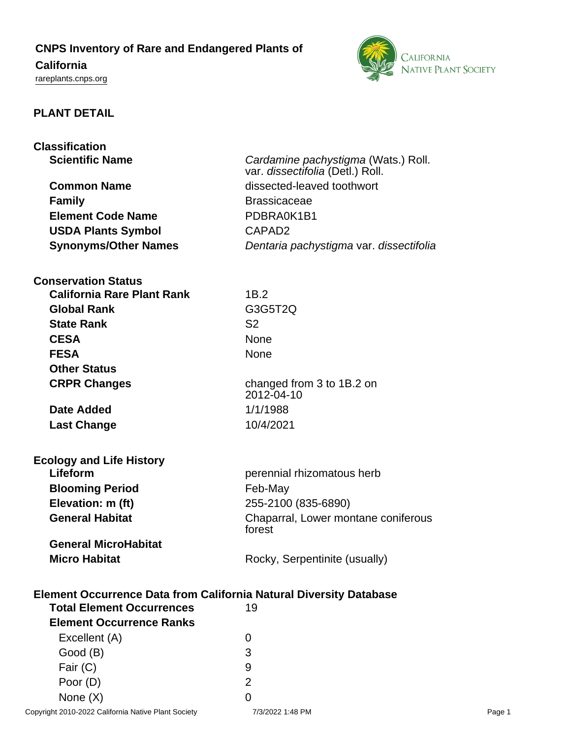# **CNPS Inventory of Rare and Endangered Plants of**

# **California**

<rareplants.cnps.org>



## **PLANT DETAIL**

| <b>Classification</b>                                                     |                                               |
|---------------------------------------------------------------------------|-----------------------------------------------|
| <b>Scientific Name</b>                                                    | Cardamine pachystigma (Wats.) Roll.           |
|                                                                           | var. dissectifolia (Detl.) Roll.              |
| <b>Common Name</b>                                                        | dissected-leaved toothwort                    |
| <b>Family</b>                                                             | <b>Brassicaceae</b>                           |
| <b>Element Code Name</b>                                                  | PDBRA0K1B1                                    |
| <b>USDA Plants Symbol</b>                                                 | CAPAD <sub>2</sub>                            |
| <b>Synonyms/Other Names</b>                                               | Dentaria pachystigma var. dissectifolia       |
| <b>Conservation Status</b>                                                |                                               |
| <b>California Rare Plant Rank</b>                                         | 1B.2                                          |
| <b>Global Rank</b>                                                        | G3G5T2Q                                       |
| <b>State Rank</b>                                                         | S <sub>2</sub>                                |
| <b>CESA</b>                                                               | <b>None</b>                                   |
| <b>FESA</b>                                                               | None                                          |
| <b>Other Status</b>                                                       |                                               |
| <b>CRPR Changes</b>                                                       | changed from 3 to 1B.2 on<br>2012-04-10       |
| <b>Date Added</b>                                                         | 1/1/1988                                      |
| <b>Last Change</b>                                                        | 10/4/2021                                     |
| <b>Ecology and Life History</b>                                           |                                               |
| Lifeform                                                                  | perennial rhizomatous herb                    |
| <b>Blooming Period</b>                                                    | Feb-May                                       |
| Elevation: m (ft)                                                         | 255-2100 (835-6890)                           |
| <b>General Habitat</b>                                                    | Chaparral, Lower montane coniferous<br>forest |
| <b>General MicroHabitat</b>                                               |                                               |
| <b>Micro Habitat</b>                                                      | Rocky, Serpentinite (usually)                 |
| <b>Element Occurrence Data from California Natural Diversity Database</b> |                                               |
| <b>Total Element Occurrences</b>                                          | 19                                            |
| <b>Element Occurrence Ranks</b>                                           |                                               |
| Excellent (A)                                                             | 0                                             |
| Good (B)                                                                  | 3                                             |
| Fair (C)                                                                  | 9                                             |

Poor (D) 2 None  $(X)$  0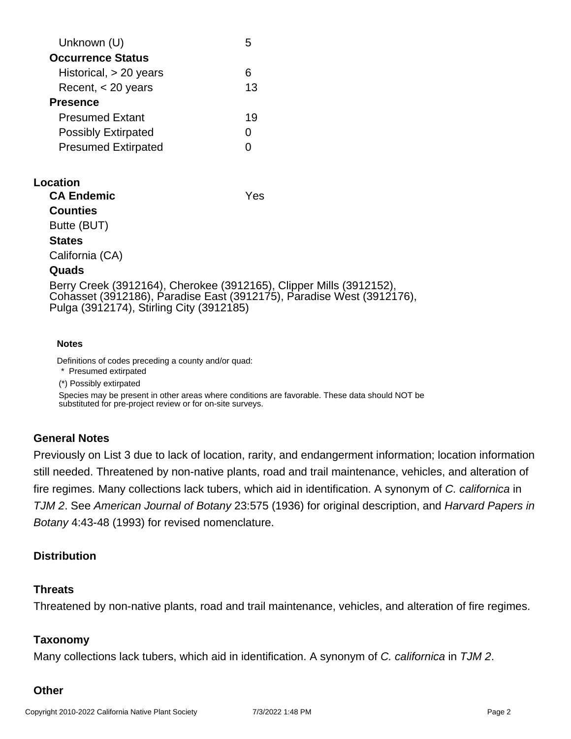| Unknown (U)                |    |
|----------------------------|----|
| <b>Occurrence Status</b>   |    |
| Historical, $> 20$ years   |    |
| Recent, $<$ 20 years       | 13 |
| <b>Presence</b>            |    |
| <b>Presumed Extant</b>     | 19 |
| <b>Possibly Extirpated</b> |    |
| <b>Presumed Extirpated</b> |    |
|                            |    |

## **Location**

**CA Endemic** Yes

**Counties**

Butte (BUT)

#### **States**

California (CA)

#### **Quads**

Berry Creek (3912164), Cherokee (3912165), Clipper Mills (3912152), Cohasset (3912186), Paradise East (3912175), Paradise West (3912176), Pulga (3912174), Stirling City (3912185)

#### **Notes**

Definitions of codes preceding a county and/or quad:

\* Presumed extirpated

(\*) Possibly extirpated

Species may be present in other areas where conditions are favorable. These data should NOT be substituted for pre-project review or for on-site surveys.

## **General Notes**

Previously on List 3 due to lack of location, rarity, and endangerment information; location information still needed. Threatened by non-native plants, road and trail maintenance, vehicles, and alteration of fire regimes. Many collections lack tubers, which aid in identification. A synonym of C. californica in TJM 2. See American Journal of Botany 23:575 (1936) for original description, and Harvard Papers in Botany 4:43-48 (1993) for revised nomenclature.

## **Distribution**

#### **Threats**

Threatened by non-native plants, road and trail maintenance, vehicles, and alteration of fire regimes.

## **Taxonomy**

Many collections lack tubers, which aid in identification. A synonym of C. californica in TJM 2.

## **Other**